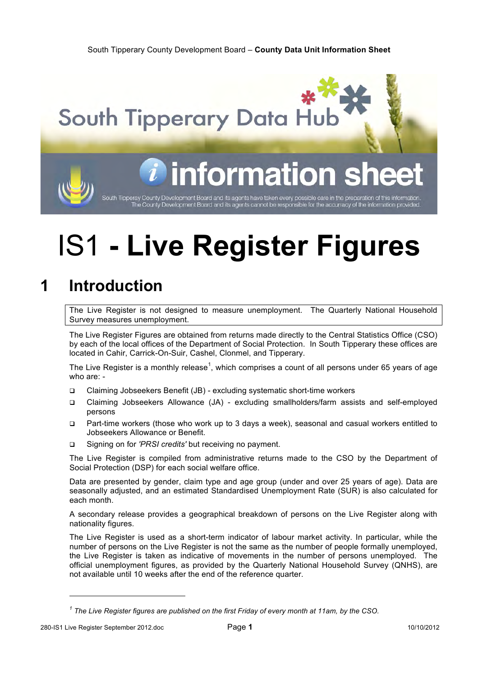South Tipperary County Development Board – **County Data Unit Information Sheet**

**South Tipperary Data Hu** 

## iformati

South Tipperay County Development Board and its agents have taken every possible care in the preparation of this information<br>The County Development Board and its agents cannot be responsible for the accurracy of the inform

## IS1 **- Live Register Figures**

## **1 Introduction**

The Live Register is not designed to measure unemployment. The Quarterly National Household Survey measures unemployment.

The Live Register Figures are obtained from returns made directly to the Central Statistics Office (CSO) by each of the local offices of the Department of Social Protection. In South Tipperary these offices are located in Cahir, Carrick-On-Suir, Cashel, Clonmel, and Tipperary.

The Live Register is a monthly release<sup>1</sup>, which comprises a count of all persons under 65 years of age who are: -

- Claiming Jobseekers Benefit (JB) excluding systematic short-time workers
- Claiming Jobseekers Allowance (JA) excluding smallholders/farm assists and self-employed persons
- Part-time workers (those who work up to 3 days a week), seasonal and casual workers entitled to Jobseekers Allowance or Benefit.
- Signing on for *'PRSI credits'* but receiving no payment.

The Live Register is compiled from administrative returns made to the CSO by the Department of Social Protection (DSP) for each social welfare office.

Data are presented by gender, claim type and age group (under and over 25 years of age). Data are seasonally adjusted, and an estimated Standardised Unemployment Rate (SUR) is also calculated for each month.

A secondary release provides a geographical breakdown of persons on the Live Register along with nationality figures.

The Live Register is used as a short-term indicator of labour market activity. In particular, while the number of persons on the Live Register is not the same as the number of people formally unemployed, the Live Register is taken as indicative of movements in the number of persons unemployed. The official unemployment figures, as provided by the Quarterly National Household Survey (QNHS), are not available until 10 weeks after the end of the reference quarter.

l

*<sup>1</sup> The Live Register figures are published on the first Friday of every month at 11am, by the CSO.*